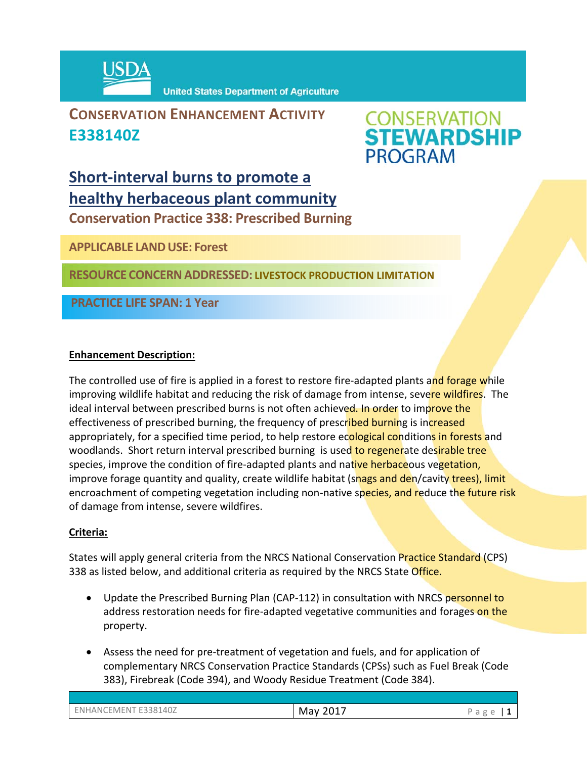

**United States Department of Agriculture** 

# **CONSERVATION ENHANCEMENT ACTIVITY E338140Z**



# **Short‐interval burns to promote a healthy herbaceous plant community**

**Conservation Practice 338: Prescribed Burning** 

**APPLICABLE LANDUSE: Forest**

**RESOURCE CONCERNADDRESSED: LIVESTOCK PRODUCTION LIMITATION** 

**PRACTICE LIFE SPAN: 1 Year**

# **Enhancement Description:**

The controlled use of fire is applied in a forest to restore fire-adapted plants and forage while improving wildlife habitat and reducing the risk of damage from intense, severe wildfires. The ideal interval between prescribed burns is not often achieved. In order to improve the effectiveness of prescribed burning, the frequency of prescribed burning is increased appropriately, for a specified time period, to help restore ecological conditions in forests and woodlands. Short return interval prescribed burning is used to regenerate desirable tree species, improve the condition of fire-adapted plants and native herbaceous vegetation, improve forage quantity and quality, create wildlife habitat (snags and den/cavity trees), limit encroachment of competing vegetation including non-native species, and reduce the future risk of damage from intense, severe wildfires.

# **Criteria:**

States will apply general criteria from the NRCS National Conservation Practice Standard (CPS) 338 as listed below, and additional criteria as required by the NRCS State Office.

- Update the Prescribed Burning Plan (CAP-112) in consultation with NRCS personnel to address restoration needs for fire-adapted vegetative communities and forages on the property.
- Assess the need for pre-treatment of vegetation and fuels, and for application of complementary NRCS Conservation Practice Standards (CPSs) such as Fuel Break (Code 383), Firebreak (Code 394), and Woody Residue Treatment (Code 384).

ENHANCEMENT E338140Z **May 2017** Page | **1**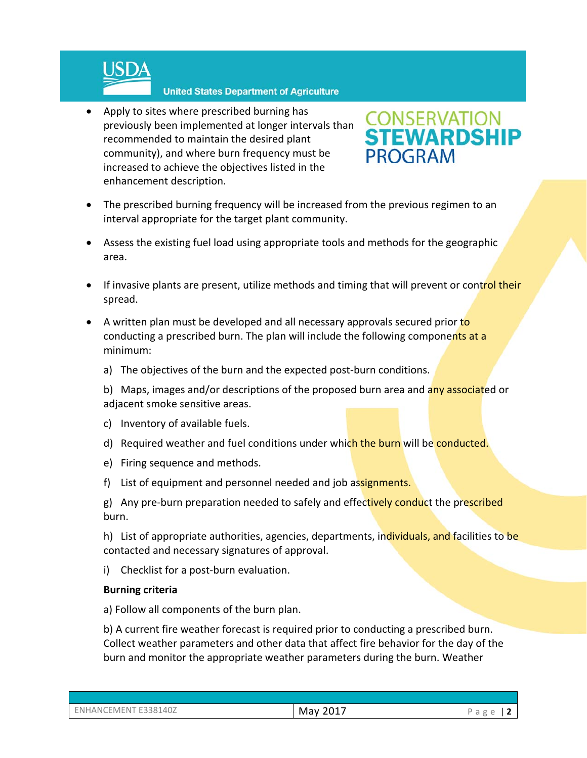

#### **United States Department of Agriculture**

• Apply to sites where prescribed burning has previously been implemented at longer intervals than recommended to maintain the desired plant community), and where burn frequency must be increased to achieve the objectives listed in the enhancement description.



- The prescribed burning frequency will be increased from the previous regimen to an interval appropriate for the target plant community.
- Assess the existing fuel load using appropriate tools and methods for the geographic area.
- If invasive plants are present, utilize methods and timing that will prevent or control their spread.
- A written plan must be developed and all necessary approvals secured prior to conducting a prescribed burn. The plan will include the following components at a minimum:
	- a) The objectives of the burn and the expected post‐burn conditions.
	- b) Maps, images and/or descriptions of the proposed burn area and any associated or adjacent smoke sensitive areas.
	- c) Inventory of available fuels.
	- d) Required weather and fuel conditions under which the burn will be conducted.
	- e) Firing sequence and methods.
	- f) List of equipment and personnel needed and job assignments.

g) Any pre-burn preparation needed to safely and effectively conduct the prescribed burn.

h) List of appropriate authorities, agencies, departments, individuals, and facilities to be contacted and necessary signatures of approval.

i) Checklist for a post-burn evaluation.

### **Burning criteria**

a) Follow all components of the burn plan.

b) A current fire weather forecast is required prior to conducting a prescribed burn. Collect weather parameters and other data that affect fire behavior for the day of the burn and monitor the appropriate weather parameters during the burn. Weather

| ENHANCEMENT E338140Z | May 2017 | Page |
|----------------------|----------|------|
|                      |          |      |